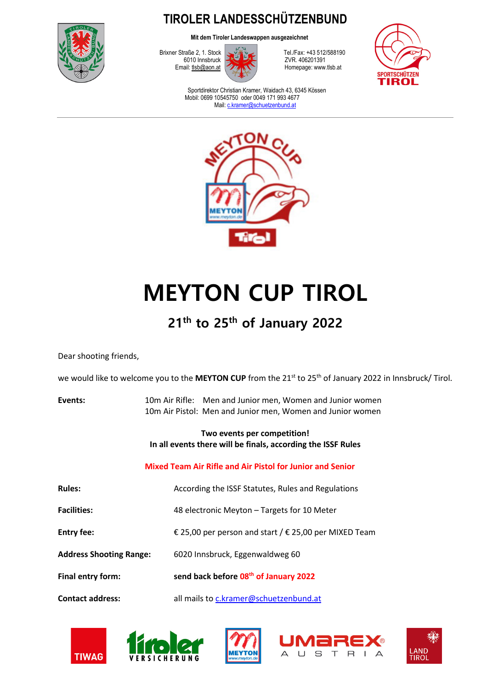

**TIROLER LANDESSCHÜTZENBUND** 

**Mit dem Tiroler Landeswappen ausgezeichnet**



Brixner Straße 2, 1. Stock Tel./Fax: +43 512/588190 Homepage: www.tlsb.at



Sportdirektor Christian Kramer, Waidach 43, 6345 Kössen Mobil: 0699 10545750 oder 0049 171 993 4677 Mail: c.kramer@schuetzenbund.at



# **MEYTON CUP TIROL**

## **21th to 25th of January 2022**

Dear shooting friends,

we would like to welcome you to the MEYTON CUP from the 21<sup>st</sup> to 25<sup>th</sup> of January 2022 in Innsbruck/ Tirol.

| Events: | 10m Air Rifle: Men and Junior men, Women and Junior women  |
|---------|------------------------------------------------------------|
|         | 10m Air Pistol: Men and Junior men, Women and Junior women |

### **Two events per competition! In all events there will be finals, according the ISSF Rules**

### **Mixed Team Air Rifle and Air Pistol for Junior and Senior**

| <b>Rules:</b>                  | According the ISSF Statutes, Rules and Regulations             |  |
|--------------------------------|----------------------------------------------------------------|--|
| <b>Facilities:</b>             | 48 electronic Meyton - Targets for 10 Meter                    |  |
| <b>Entry fee:</b>              | € 25,00 per person and start / $\epsilon$ 25,00 per MIXED Team |  |
| <b>Address Shooting Range:</b> | 6020 Innsbruck, Eggenwaldweg 60                                |  |
| Final entry form:              | send back before 08 <sup>th</sup> of January 2022              |  |
| <b>Contact address:</b>        | all mails to c.kramer@schuetzenbund.at                         |  |









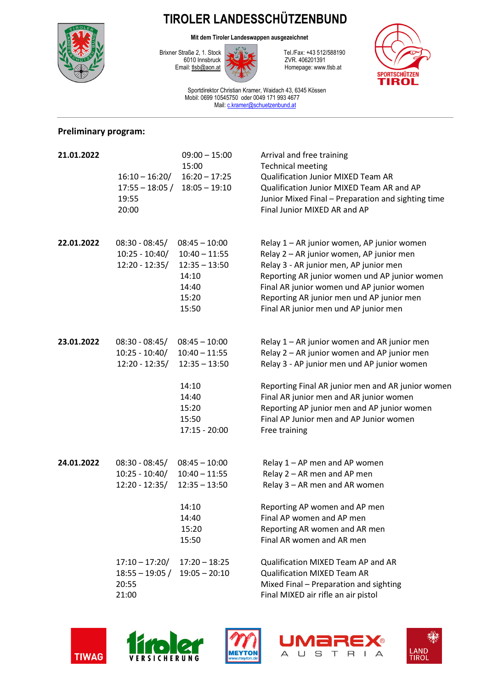## **TIROLER LANDESSCHÜTZENBUND**



**Mit dem Tiroler Landeswappen ausgezeichnet**



Brixner Straße 2, 1. Stock Tel./Fax: +43 512/588190 Homepage: www.tlsb.at



Sportdirektor Christian Kramer, Waidach 43, 6345 Kössen Mobil: 0699 10545750 oder 0049 171 993 4677 Mail: c.kramer@schuetzenbund.at

### **Preliminary program:**

| 21.01.2022 | $16:10 - 16:20/$<br>$17:55 - 18:05/$<br>19:55<br>20:00                       | $09:00 - 15:00$<br>15:00<br>$16:20 - 17:25$<br>$18:05 - 19:10$                                               | Arrival and free training<br><b>Technical meeting</b><br>Qualification Junior MIXED Team AR<br>Qualification Junior MIXED Team AR and AP<br>Junior Mixed Final - Preparation and sighting time<br>Final Junior MIXED AR and AP                                                                                                                       |
|------------|------------------------------------------------------------------------------|--------------------------------------------------------------------------------------------------------------|------------------------------------------------------------------------------------------------------------------------------------------------------------------------------------------------------------------------------------------------------------------------------------------------------------------------------------------------------|
| 22.01.2022 | $08:30 - 08:45/$<br>$10:25 - 10:40/$<br>12:20 - 12:35/                       | $08:45 - 10:00$<br>$10:40 - 11:55$<br>$12:35 - 13:50$<br>14:10<br>14:40<br>15:20<br>15:50                    | Relay 1 - AR junior women, AP junior women<br>Relay 2 - AR junior women, AP junior men<br>Relay 3 - AR junior men, AP junior men<br>Reporting AR junior women und AP junior women<br>Final AR junior women und AP junior women<br>Reporting AR junior men und AP junior men<br>Final AR junior men und AP junior men                                 |
| 23.01.2022 | $08:30 - 08:45/$<br>$10:25 - 10:40/$<br>$12:20 - 12:35/$                     | $08:45 - 10:00$<br>$10:40 - 11:55$<br>$12:35 - 13:50$<br>14:10<br>14:40<br>15:20<br>15:50<br>$17:15 - 20:00$ | Relay 1 - AR junior women and AR junior men<br>Relay 2 - AR junior women and AP junior men<br>Relay 3 - AP junior men und AP junior women<br>Reporting Final AR junior men and AR junior women<br>Final AR junior men and AR junior women<br>Reporting AP junior men and AP junior women<br>Final AP Junior men and AP Junior women<br>Free training |
| 24.01.2022 | $08:30 - 08:45/$<br>$10:25 - 10:40/$<br>$12:20 - 12:35/$<br>$17:10 - 17:20/$ | $08:45 - 10:00$<br>$10:40 - 11:55$<br>$12:35 - 13:50$<br>14:10<br>14:40<br>15:20<br>15:50<br>$17:20 - 18:25$ | Relay 1 - AP men and AP women<br>Relay 2 - AR men and AP men<br>Relay 3 - AR men and AR women<br>Reporting AP women and AP men<br>Final AP women and AP men<br>Reporting AR women and AR men<br>Final AR women and AR men<br>Qualification MIXED Team AP and AR                                                                                      |
|            | $18:55 - 19:05/$<br>20:55<br>21:00                                           | $19:05 - 20:10$                                                                                              | <b>Qualification MIXED Team AR</b><br>Mixed Final - Preparation and sighting<br>Final MIXED air rifle an air pistol                                                                                                                                                                                                                                  |